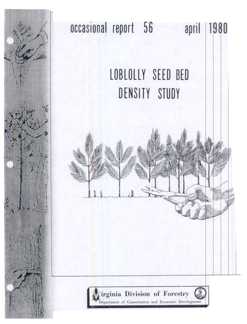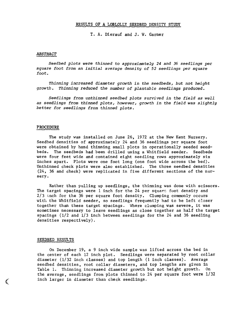# RESULTS OF A LOBLOLLY SEEDBED DENSITY STUDY

I. A. Dierauf and J. W. Garner

### ABSTRACT

Seedbed plots were thinned to approximately 24 and 36 seedlings per square foot from an initial average density of 52 seedlings per square foot.

Thinning increased diameter growth in the seedbeds, but not height growth. Thinning reduced the number of plantable seedlings produced.

Seedlings from unthinned seedbed plots survived in the field as well as seedlings from thinned plots, however, growth in the field was slightly better for seedlings from thinned plots.

## PROCEDURE

The study was installed on June 26, 1972 at the New Kent Nursery. Seedbed densities of approximately 24 and 36 seedlings per square foot were obtained by hand thinning small plots in operationally seeded seedbeds. The seedbeds had been drilled using a Whitfield seeder. Seedbeds were four feet wide and contained eight seedling rows approximately six inches apart. Plots were one foot long (one foot wide across the bed). Unthinned check plots were also established. The three seedbed densities (24, 36 and check) were replicated in five different sections of the nursery.

Rather than pulling up seedlings, the thinning was done with scissors. The target spacings were  $1$  inch for the 24 per square foot density and  $2/3$  inch for the 36 per square foot density. Clumping commonly occurs with the Whitfield seeder, so seedlings frequently had to be left closer together than these target spacings. Where clumping was severe, it was sometimes necessary to leave seedlings as close together as half the target spacings (1/2 and 1/3 inch between seedlings for the 24 and 36 seedling densities respectively).

#### SEEDBED RESULTS

 $\left($ 

On December 19, a 9 inch wide sample was lifted across the bed in the center of each 12 inch plot. Seedlings were separated by root collar diameter (1/32 inch classes) and top length (1 inch classes). Average seedbed densities, root collar diameters, and top lengths are given in Table 1. Thinning increased diameter growth but not height growth. On the average, seedlings from plots thinned to 24 per square foot were 1/32 inch larger in diameter than check seedlings.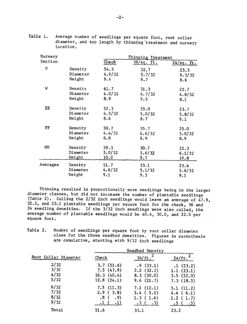| Nursery      |                      | Thinning Treatment |               |              |  |  |
|--------------|----------------------|--------------------|---------------|--------------|--|--|
| Section      |                      | Check              | $36/sq$ . ft. | $24/sq.$ ft. |  |  |
| $\mathbf{V}$ | Density              | 54.3               | 32.7          | 23.3         |  |  |
|              | Diameter             | 4.9/32             | 5.7/32        | 6.3/32       |  |  |
|              | Height               | 9.4                | 9.7           | 8.6          |  |  |
| W            | Density              | 61.7               | 31.3          | 22.7         |  |  |
|              | Diameter             | 4.0/32             | 4.7/32        | 4.8/32       |  |  |
|              | Height               | 8.9                | 9.5           | 8.1          |  |  |
| EE           | Density              | 52.3               | 35.0          | 23.7         |  |  |
|              | Diameter             | 4.5/32             | 5.0/32        | 5.8/32       |  |  |
|              | Height               | 8.6                | 8.7           | 9.1          |  |  |
| FF           | Density              | 50.7               | 35.7          | 25.0         |  |  |
|              | Diameter             | 4.4/32             | 4.6/32        | 5.0/32       |  |  |
|              | Height               | 8.8                | 8.9           | 8.9          |  |  |
| HH           | Density <sup>.</sup> | 39.3               | 30.7          | 22.3         |  |  |
|              | Diameter             | 5.0/32             | 5.6/32        | 6.1/32       |  |  |
|              | Height               | 10.0               | 9.7           | 10.8         |  |  |
| Averages     | Density              | 51.7               | 33.1          | 23.4         |  |  |
|              | Diameter             | 4.6/32             | 5.1/32        | 5.6/32       |  |  |
|              | Height               | 9.1                | 9.3           | 9.1          |  |  |

Table 1. Average number of seedlings per square foot, root collar diameter, and top length by thinning treatment and nursery location.

Thinning resulted in proportionally more seedlings being in the larger diameter classes, but did not increase the number of plantable seedlings (Table 2). Culling the 2/32 inch seedlings would leave an average of  $\frac{1}{47.9}$ , 32.2, and 23.1 plantable seedlings per square foot for the check, 36 and 24 seedling densities. If the 3/32 inch seedlings were also culled, the average number of plantable seedlings would be 40.4, 30.0, and 22.0 per square foot.

Table 2. Number of seedlings per square foot by root collar diameter class for the three seedbed densities. Figures in parenthesis are cumulative, starting with 9/32 inch seedlings

|                              | Seedbed Density                                                                |                                                             |                                                         |  |  |
|------------------------------|--------------------------------------------------------------------------------|-------------------------------------------------------------|---------------------------------------------------------|--|--|
| Root Collar Diameter         | Check                                                                          | 36/ft.                                                      | $24/ft.^2$                                              |  |  |
| 2/32<br>3/32<br>4/32<br>5/32 | 3.7(51.6)<br>7.5(47.9)<br>16.3(40.4)<br>12.8(24.1)                             | .9(33.1)<br>2.2(32.2)<br>8.3(30.0)<br>9.6(21.7)             | .1(23.2)<br>1.1(23.1)<br>3.5(22.0)<br>7.3(18.5)         |  |  |
| 6/32<br>7/32<br>8/32<br>9/32 | 7.5(11.3)<br>$2, 9$ (3.8)<br>'8 (<br>.9)<br>$\cdot$ 1)<br>$\cdot^{\mathbf{1}}$ | 7.1(12.1)<br>3.4(5.0)<br>1.3(1.6)<br>.3 <sub>1</sub><br>.3) | 5.1(11.2)<br>4.4(6.1)<br>1.2(1.7)<br><u>.5 (</u><br>.5) |  |  |
| Total                        | 51.6                                                                           | 33.1                                                        | 23.2                                                    |  |  |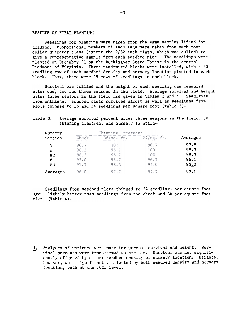#### RESULTS OF FIELD PLANTING

Seedlings for planting were taken from the same samples lifted for grading. Proportional numbers of seedlings were taken from each root collar diameter class (except the 2/32 inch class, which was culled) to give a representative sample from each seedbed plot. The seedlings were planted on December 21 on the Buckingham State Forest in the central Piedmont of Virginia. Three randomized blocks were installed, with a 20 seedling row of each seedbed density and nursery location planted in each block. Thus, there were 15 rows of seedlings in each block.

Survival was tallied and the height of each seedling was measured after one, two and three seasons in the field. Average survival and height after three seasons in the field are given in Tables 3 and 4. Seedlings from unthinned seedbed plots survived almost as well as seedlings from plots thinned to 36 and 24 seedlings per square foot (Table 3).

#### Average survival percent after three seasons in the field, by thinning treatment and nursery location $\pm$ Table 3.

| Nursery     |       |      |                |          |
|-------------|-------|------|----------------|----------|
| Section     | Check | sa   | S <sub>d</sub> | Averages |
| v           | 96.7  | 100  | 96.7           | 97.8     |
| W           | 98.3  | 96.7 | 100            | 98.3     |
| EE          | 98.3  | 96.7 | 100            | 98.3     |
| $_{\rm FF}$ | 95.0  | 96.7 | 96.7           | 96.1     |
| HH          | 91.7  | 98.3 | 95.0           | 95.0     |
| Averages    | 96.0  | 97.7 | 97.7           | 97.1     |

Seedlings from seedbed plots thinned to 24 seedling, per square foot gre lightly better than seedlings from the check and 36 per square foot plot (Table 4).

1/ Analyses of variance were made for percent survival and height. Survival percents were transformed to arc sin. Survival was not significantly affected by either seedbed density or nursery location. Heights, however, were significantly affected by both seedbed density and nursery location, both at the .025 level.